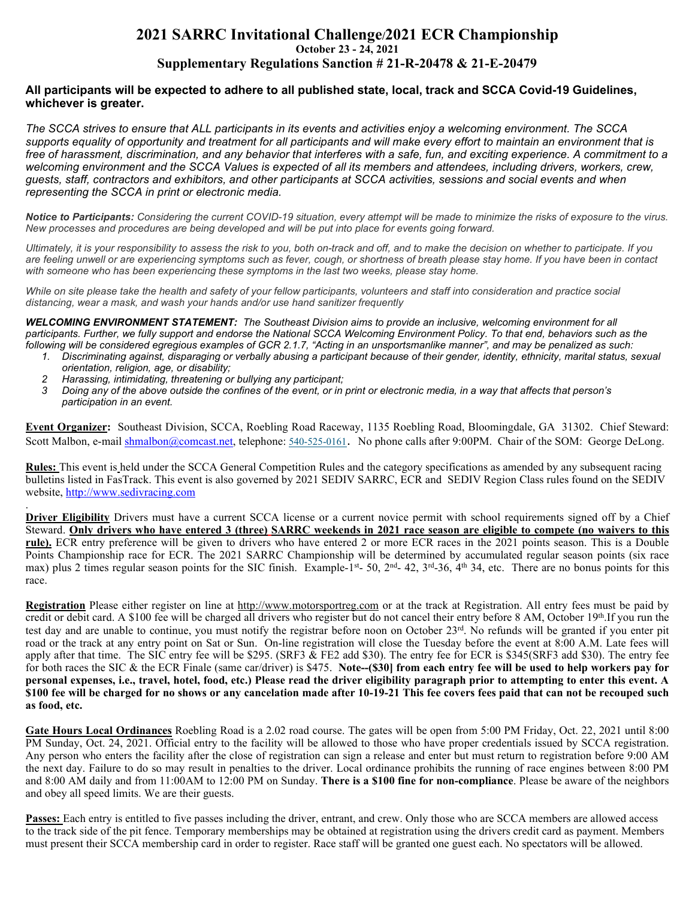## **2021 SARRC Invitational Challenge/2021 ECR Championship October 23 - 24, 2021 Supplementary Regulations Sanction # 21-R-20478 & 21-E-20479**

## **All participants will be expected to adhere to all published state, local, track and SCCA Covid-19 Guidelines, whichever is greater.**

*The SCCA strives to ensure that ALL participants in its events and activities enjoy a welcoming environment. The SCCA supports equality of opportunity and treatment for all participants and will make every effort to maintain an environment that is free of harassment, discrimination, and any behavior that interferes with a safe, fun, and exciting experience. A commitment to a welcoming environment and the SCCA Values is expected of all its members and attendees, including drivers, workers, crew, guests, staff, contractors and exhibitors, and other participants at SCCA activities, sessions and social events and when representing the SCCA in print or electronic media.*

*Notice to Participants: Considering the current COVID-19 situation, every attempt will be made to minimize the risks of exposure to the virus. New processes and procedures are being developed and will be put into place for events going forward.*

*Ultimately, it is your responsibility to assess the risk to you, both on-track and off, and to make the decision on whether to participate. If you are feeling unwell or are experiencing symptoms such as fever, cough, or shortness of breath please stay home. If you have been in contact with someone who has been experiencing these symptoms in the last two weeks, please stay home.*

*While on site please take the health and safety of your fellow participants, volunteers and staff into consideration and practice social distancing, wear a mask, and wash your hands and/or use hand sanitizer frequently* 

*WELCOMING ENVIRONMENT STATEMENT: The Southeast Division aims to provide an inclusive, welcoming environment for all*  participants. Further, we fully support and endorse the National SCCA Welcoming Environment Policy. To that end, behaviors such as the *following will be considered egregious examples of GCR 2.1.7, "Acting in an unsportsmanlike manner", and may be penalized as such:* 

- *1. Discriminating against, disparaging or verbally abusing a participant because of their gender, identity, ethnicity, marital status, sexual orientation, religion, age, or disability;*
- *2 Harassing, intimidating, threatening or bullying any participant;*

.

*3 Doing any of the above outside the confines of the event, or in print or electronic media, in a way that affects that person's participation in an event.* 

**Event Organizer:** Southeast Division, SCCA, Roebling Road Raceway, 1135 Roebling Road, Bloomingdale, GA 31302. Chief Steward: Scott Malbon, e-mail shmalbon@comcast.net, telephone: 540-525-0161. No phone calls after 9:00PM. Chair of the SOM: George DeLong.

**Rules:** This event is held under the SCCA General Competition Rules and the category specifications as amended by any subsequent racing bulletins listed in FasTrack. This event is also governed by 2021 SEDIV SARRC, ECR and SEDIV Region Class rules found on the SEDIV website, http://www.sedivracing.com

**Driver Eligibility** Drivers must have a current SCCA license or a current novice permit with school requirements signed off by a Chief Steward. **Only drivers who have entered 3 (three) SARRC weekends in 2021 race season are eligible to compete (no waivers to this rule).** ECR entry preference will be given to drivers who have entered 2 or more ECR races in the 2021 points season. This is a Double Points Championship race for ECR. The 2021 SARRC Championship will be determined by accumulated regular season points (six race max) plus 2 times regular season points for the SIC finish. Example-1st- 50,  $2<sup>nd</sup>$ - 42,  $3<sup>rd</sup>$ -36,  $4<sup>th</sup>$  34, etc. There are no bonus points for this race.

**Registration** Please either register on line at http://www.motorsportreg.com or at the track at Registration. All entry fees must be paid by credit or debit card. A \$100 fee will be charged all drivers who register but do not cancel their entry before 8 AM, October 19th.If you run the test day and are unable to continue, you must notify the registrar before noon on October 23rd. No refunds will be granted if you enter pit road or the track at any entry point on Sat or Sun. On-line registration will close the Tuesday before the event at 8:00 A.M. Late fees will apply after that time. The SIC entry fee will be \$295. (SRF3 & FE2 add \$30). The entry fee for ECR is \$345(SRF3 add \$30). The entry fee for both races the SIC & the ECR Finale (same car/driver) is \$475. **Note--(\$30] from each entry fee will be used to help workers pay for personal expenses, i.e., travel, hotel, food, etc.) Please read the driver eligibility paragraph prior to attempting to enter this event. A \$100 fee will be charged for no shows or any cancelation made after 10-19-21 This fee covers fees paid that can not be recouped such as food, etc.** 

**Gate Hours Local Ordinances** Roebling Road is a 2.02 road course. The gates will be open from 5:00 PM Friday, Oct. 22, 2021 until 8:00 PM Sunday, Oct. 24, 2021. Official entry to the facility will be allowed to those who have proper credentials issued by SCCA registration. Any person who enters the facility after the close of registration can sign a release and enter but must return to registration before 9:00 AM the next day. Failure to do so may result in penalties to the driver. Local ordinance prohibits the running of race engines between 8:00 PM and 8:00 AM daily and from 11:00AM to 12:00 PM on Sunday. **There is a \$100 fine for non-compliance**. Please be aware of the neighbors and obey all speed limits. We are their guests.

**Passes:** Each entry is entitled to five passes including the driver, entrant, and crew. Only those who are SCCA members are allowed access to the track side of the pit fence. Temporary memberships may be obtained at registration using the drivers credit card as payment. Members must present their SCCA membership card in order to register. Race staff will be granted one guest each. No spectators will be allowed.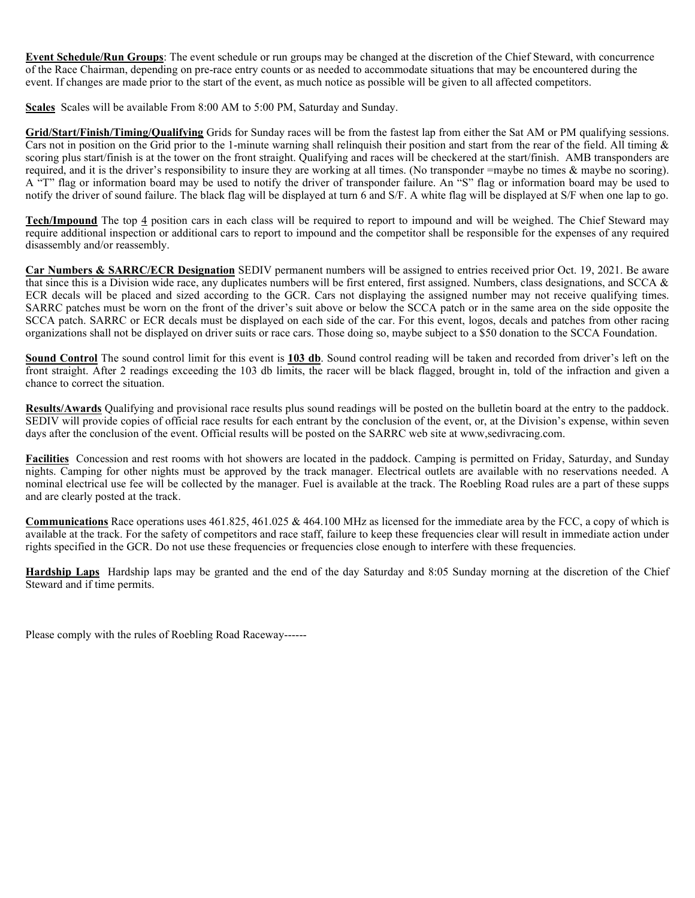**Event Schedule/Run Groups**: The event schedule or run groups may be changed at the discretion of the Chief Steward, with concurrence of the Race Chairman, depending on pre-race entry counts or as needed to accommodate situations that may be encountered during the event. If changes are made prior to the start of the event, as much notice as possible will be given to all affected competitors.

**Scales** Scales will be available From 8:00 AM to 5:00 PM, Saturday and Sunday.

**Grid/Start/Finish/Timing/Qualifying** Grids for Sunday races will be from the fastest lap from either the Sat AM or PM qualifying sessions. Cars not in position on the Grid prior to the 1-minute warning shall relinquish their position and start from the rear of the field. All timing & scoring plus start/finish is at the tower on the front straight. Qualifying and races will be checkered at the start/finish. AMB transponders are required, and it is the driver's responsibility to insure they are working at all times. (No transponder =maybe no times & maybe no scoring). A "T" flag or information board may be used to notify the driver of transponder failure. An "S" flag or information board may be used to notify the driver of sound failure. The black flag will be displayed at turn 6 and S/F. A white flag will be displayed at S/F when one lap to go.

**Tech/Impound** The top 4 position cars in each class will be required to report to impound and will be weighed. The Chief Steward may require additional inspection or additional cars to report to impound and the competitor shall be responsible for the expenses of any required disassembly and/or reassembly.

**Car Numbers & SARRC/ECR Designation** SEDIV permanent numbers will be assigned to entries received prior Oct. 19, 2021. Be aware that since this is a Division wide race, any duplicates numbers will be first entered, first assigned. Numbers, class designations, and SCCA  $\&$ ECR decals will be placed and sized according to the GCR. Cars not displaying the assigned number may not receive qualifying times. SARRC patches must be worn on the front of the driver's suit above or below the SCCA patch or in the same area on the side opposite the SCCA patch. SARRC or ECR decals must be displayed on each side of the car. For this event, logos, decals and patches from other racing organizations shall not be displayed on driver suits or race cars. Those doing so, maybe subject to a \$50 donation to the SCCA Foundation.

**Sound Control** The sound control limit for this event is **103 db**. Sound control reading will be taken and recorded from driver's left on the front straight. After 2 readings exceeding the 103 db limits, the racer will be black flagged, brought in, told of the infraction and given a chance to correct the situation.

**Results/Awards** Qualifying and provisional race results plus sound readings will be posted on the bulletin board at the entry to the paddock. SEDIV will provide copies of official race results for each entrant by the conclusion of the event, or, at the Division's expense, within seven days after the conclusion of the event. Official results will be posted on the SARRC web site at www, sedivracing.com.

**Facilities** Concession and rest rooms with hot showers are located in the paddock. Camping is permitted on Friday, Saturday, and Sunday nights. Camping for other nights must be approved by the track manager. Electrical outlets are available with no reservations needed. A nominal electrical use fee will be collected by the manager. Fuel is available at the track. The Roebling Road rules are a part of these supps and are clearly posted at the track.

**Communications** Race operations uses 461.825, 461.025 & 464.100 MHz as licensed for the immediate area by the FCC, a copy of which is available at the track. For the safety of competitors and race staff, failure to keep these frequencies clear will result in immediate action under rights specified in the GCR. Do not use these frequencies or frequencies close enough to interfere with these frequencies.

**Hardship Laps** Hardship laps may be granted and the end of the day Saturday and 8:05 Sunday morning at the discretion of the Chief Steward and if time permits.

Please comply with the rules of Roebling Road Raceway------